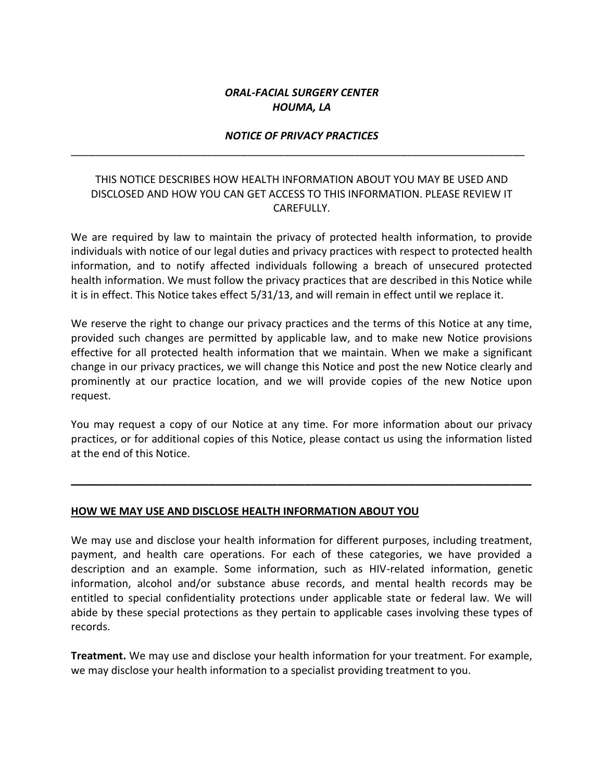## *ORAL-FACIAL SURGERY CENTER HOUMA, LA*

# *NOTICE OF PRIVACY PRACTICES* \_\_\_\_\_\_\_\_\_\_\_\_\_\_\_\_\_\_\_\_\_\_\_\_\_\_\_\_\_\_\_\_\_\_\_\_\_\_\_\_\_\_\_\_\_\_\_\_\_\_\_\_\_\_\_\_\_\_\_\_\_\_\_\_\_\_\_\_\_\_\_\_\_\_\_\_\_

## THIS NOTICE DESCRIBES HOW HEALTH INFORMATION ABOUT YOU MAY BE USED AND DISCLOSED AND HOW YOU CAN GET ACCESS TO THIS INFORMATION. PLEASE REVIEW IT CAREFULLY.

We are required by law to maintain the privacy of protected health information, to provide individuals with notice of our legal duties and privacy practices with respect to protected health information, and to notify affected individuals following a breach of unsecured protected health information. We must follow the privacy practices that are described in this Notice while it is in effect. This Notice takes effect 5/31/13, and will remain in effect until we replace it.

We reserve the right to change our privacy practices and the terms of this Notice at any time, provided such changes are permitted by applicable law, and to make new Notice provisions effective for all protected health information that we maintain. When we make a significant change in our privacy practices, we will change this Notice and post the new Notice clearly and prominently at our practice location, and we will provide copies of the new Notice upon request.

You may request a copy of our Notice at any time. For more information about our privacy practices, or for additional copies of this Notice, please contact us using the information listed at the end of this Notice.

**\_\_\_\_\_\_\_\_\_\_\_\_\_\_\_\_\_\_\_\_\_\_\_\_\_\_\_\_\_\_\_\_\_\_\_\_\_\_\_\_\_\_\_\_\_\_\_\_\_\_\_\_\_\_\_\_\_\_\_\_\_\_\_\_\_\_\_**

#### **HOW WE MAY USE AND DISCLOSE HEALTH INFORMATION ABOUT YOU**

We may use and disclose your health information for different purposes, including treatment, payment, and health care operations. For each of these categories, we have provided a description and an example. Some information, such as HIV-related information, genetic information, alcohol and/or substance abuse records, and mental health records may be entitled to special confidentiality protections under applicable state or federal law. We will abide by these special protections as they pertain to applicable cases involving these types of records.

**Treatment.** We may use and disclose your health information for your treatment. For example, we may disclose your health information to a specialist providing treatment to you.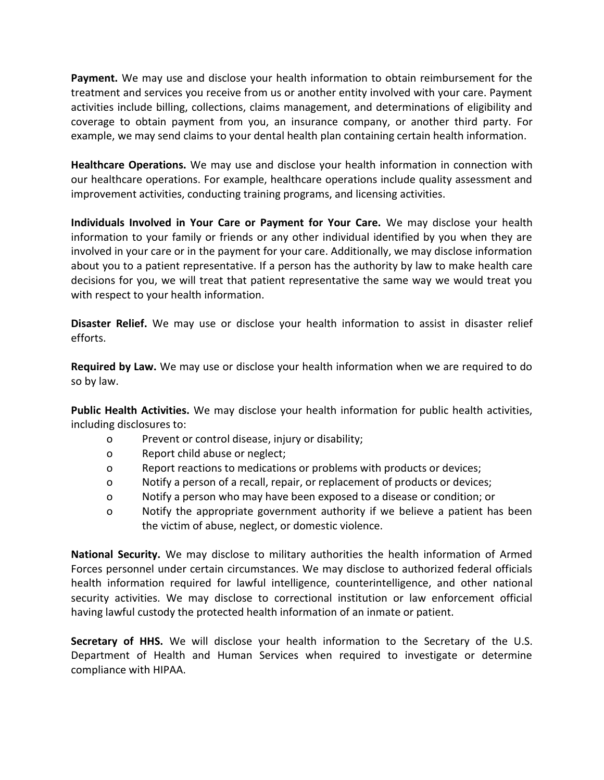**Payment.** We may use and disclose your health information to obtain reimbursement for the treatment and services you receive from us or another entity involved with your care. Payment activities include billing, collections, claims management, and determinations of eligibility and coverage to obtain payment from you, an insurance company, or another third party. For example, we may send claims to your dental health plan containing certain health information.

**Healthcare Operations.** We may use and disclose your health information in connection with our healthcare operations. For example, healthcare operations include quality assessment and improvement activities, conducting training programs, and licensing activities.

**Individuals Involved in Your Care or Payment for Your Care.** We may disclose your health information to your family or friends or any other individual identified by you when they are involved in your care or in the payment for your care. Additionally, we may disclose information about you to a patient representative. If a person has the authority by law to make health care decisions for you, we will treat that patient representative the same way we would treat you with respect to your health information.

**Disaster Relief.** We may use or disclose your health information to assist in disaster relief efforts.

**Required by Law.** We may use or disclose your health information when we are required to do so by law.

**Public Health Activities.** We may disclose your health information for public health activities, including disclosures to:

- o Prevent or control disease, injury or disability;
- o Report child abuse or neglect;
- o Report reactions to medications or problems with products or devices;
- o Notify a person of a recall, repair, or replacement of products or devices;
- o Notify a person who may have been exposed to a disease or condition; or
- o Notify the appropriate government authority if we believe a patient has been the victim of abuse, neglect, or domestic violence.

**National Security.** We may disclose to military authorities the health information of Armed Forces personnel under certain circumstances. We may disclose to authorized federal officials health information required for lawful intelligence, counterintelligence, and other national security activities. We may disclose to correctional institution or law enforcement official having lawful custody the protected health information of an inmate or patient.

**Secretary of HHS.** We will disclose your health information to the Secretary of the U.S. Department of Health and Human Services when required to investigate or determine compliance with HIPAA.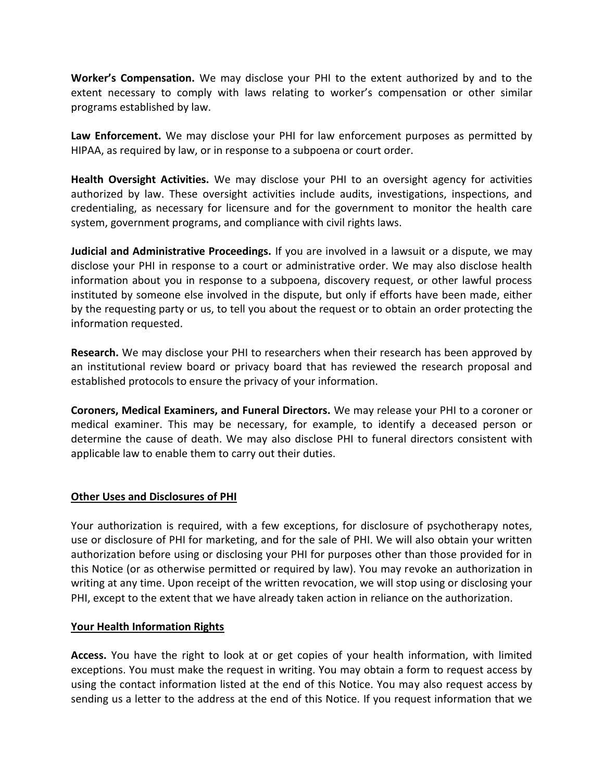**Worker's Compensation.** We may disclose your PHI to the extent authorized by and to the extent necessary to comply with laws relating to worker's compensation or other similar programs established by law.

**Law Enforcement.** We may disclose your PHI for law enforcement purposes as permitted by HIPAA, as required by law, or in response to a subpoena or court order.

**Health Oversight Activities.** We may disclose your PHI to an oversight agency for activities authorized by law. These oversight activities include audits, investigations, inspections, and credentialing, as necessary for licensure and for the government to monitor the health care system, government programs, and compliance with civil rights laws.

**Judicial and Administrative Proceedings.** If you are involved in a lawsuit or a dispute, we may disclose your PHI in response to a court or administrative order. We may also disclose health information about you in response to a subpoena, discovery request, or other lawful process instituted by someone else involved in the dispute, but only if efforts have been made, either by the requesting party or us, to tell you about the request or to obtain an order protecting the information requested.

**Research.** We may disclose your PHI to researchers when their research has been approved by an institutional review board or privacy board that has reviewed the research proposal and established protocols to ensure the privacy of your information.

**Coroners, Medical Examiners, and Funeral Directors.** We may release your PHI to a coroner or medical examiner. This may be necessary, for example, to identify a deceased person or determine the cause of death. We may also disclose PHI to funeral directors consistent with applicable law to enable them to carry out their duties.

## **Other Uses and Disclosures of PHI**

Your authorization is required, with a few exceptions, for disclosure of psychotherapy notes, use or disclosure of PHI for marketing, and for the sale of PHI. We will also obtain your written authorization before using or disclosing your PHI for purposes other than those provided for in this Notice (or as otherwise permitted or required by law). You may revoke an authorization in writing at any time. Upon receipt of the written revocation, we will stop using or disclosing your PHI, except to the extent that we have already taken action in reliance on the authorization.

### **Your Health Information Rights**

**Access.** You have the right to look at or get copies of your health information, with limited exceptions. You must make the request in writing. You may obtain a form to request access by using the contact information listed at the end of this Notice. You may also request access by sending us a letter to the address at the end of this Notice. If you request information that we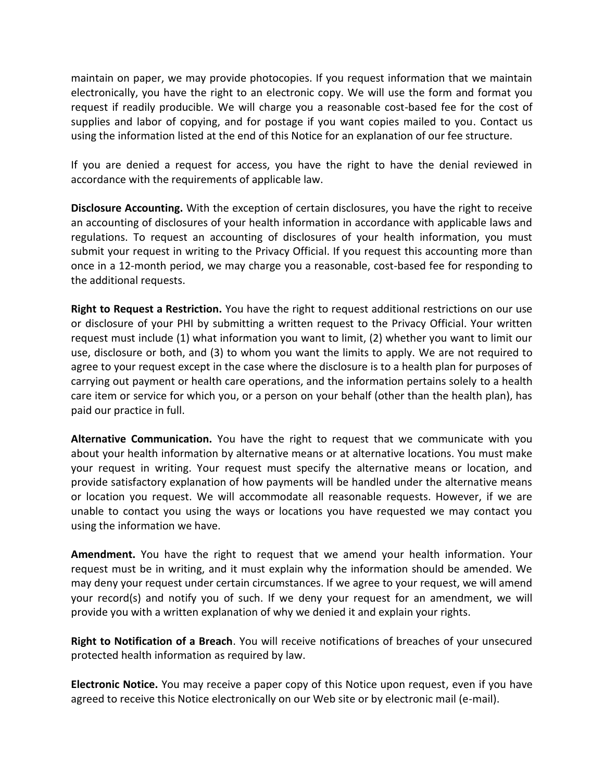maintain on paper, we may provide photocopies. If you request information that we maintain electronically, you have the right to an electronic copy. We will use the form and format you request if readily producible. We will charge you a reasonable cost-based fee for the cost of supplies and labor of copying, and for postage if you want copies mailed to you. Contact us using the information listed at the end of this Notice for an explanation of our fee structure.

If you are denied a request for access, you have the right to have the denial reviewed in accordance with the requirements of applicable law.

**Disclosure Accounting.** With the exception of certain disclosures, you have the right to receive an accounting of disclosures of your health information in accordance with applicable laws and regulations. To request an accounting of disclosures of your health information, you must submit your request in writing to the Privacy Official. If you request this accounting more than once in a 12-month period, we may charge you a reasonable, cost-based fee for responding to the additional requests.

**Right to Request a Restriction.** You have the right to request additional restrictions on our use or disclosure of your PHI by submitting a written request to the Privacy Official. Your written request must include (1) what information you want to limit, (2) whether you want to limit our use, disclosure or both, and (3) to whom you want the limits to apply. We are not required to agree to your request except in the case where the disclosure is to a health plan for purposes of carrying out payment or health care operations, and the information pertains solely to a health care item or service for which you, or a person on your behalf (other than the health plan), has paid our practice in full.

**Alternative Communication.** You have the right to request that we communicate with you about your health information by alternative means or at alternative locations. You must make your request in writing. Your request must specify the alternative means or location, and provide satisfactory explanation of how payments will be handled under the alternative means or location you request. We will accommodate all reasonable requests. However, if we are unable to contact you using the ways or locations you have requested we may contact you using the information we have.

**Amendment.** You have the right to request that we amend your health information. Your request must be in writing, and it must explain why the information should be amended. We may deny your request under certain circumstances. If we agree to your request, we will amend your record(s) and notify you of such. If we deny your request for an amendment, we will provide you with a written explanation of why we denied it and explain your rights.

**Right to Notification of a Breach**. You will receive notifications of breaches of your unsecured protected health information as required by law.

**Electronic Notice.** You may receive a paper copy of this Notice upon request, even if you have agreed to receive this Notice electronically on our Web site or by electronic mail (e-mail).